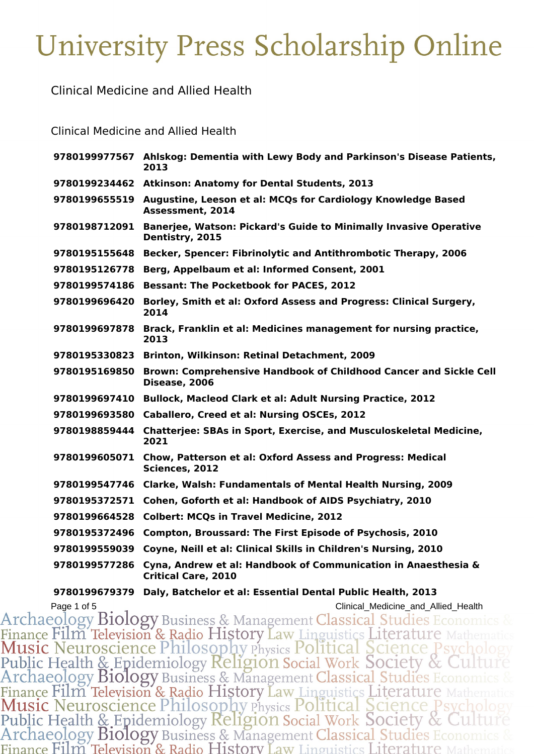Clinical Medicine and Allied Health

Clinical Medicine and Allied Health

|               | 9780199977567 Ahlskog: Dementia with Lewy Body and Parkinson's Disease Patients,<br>2013              |
|---------------|-------------------------------------------------------------------------------------------------------|
|               | 9780199234462 Atkinson: Anatomy for Dental Students, 2013                                             |
|               | 9780199655519 Augustine, Leeson et al: MCQs for Cardiology Knowledge Based<br><b>Assessment, 2014</b> |
| 9780198712091 | <b>Banerjee, Watson: Pickard's Guide to Minimally Invasive Operative</b><br>Dentistry, 2015           |
| 9780195155648 | Becker, Spencer: Fibrinolytic and Antithrombotic Therapy, 2006                                        |
| 9780195126778 | Berg, Appelbaum et al: Informed Consent, 2001                                                         |
| 9780199574186 | <b>Bessant: The Pocketbook for PACES, 2012</b>                                                        |
| 9780199696420 | Borley, Smith et al: Oxford Assess and Progress: Clinical Surgery,<br>2014                            |
| 9780199697878 | Brack, Franklin et al: Medicines management for nursing practice,<br>2013                             |
| 9780195330823 | Brinton, Wilkinson: Retinal Detachment, 2009                                                          |
| 9780195169850 | Brown: Comprehensive Handbook of Childhood Cancer and Sickle Cell<br>Disease, 2006                    |
| 9780199697410 | <b>Bullock, Macleod Clark et al: Adult Nursing Practice, 2012</b>                                     |
| 9780199693580 | Caballero, Creed et al: Nursing OSCEs, 2012                                                           |
| 9780198859444 | <b>Chatterjee: SBAs in Sport, Exercise, and Musculoskeletal Medicine,</b><br>2021                     |
|               | 9780199605071 Chow, Patterson et al: Oxford Assess and Progress: Medical<br>Sciences, 2012            |
| 9780199547746 | <b>Clarke, Walsh: Fundamentals of Mental Health Nursing, 2009</b>                                     |
| 9780195372571 | Cohen, Goforth et al: Handbook of AIDS Psychiatry, 2010                                               |
| 9780199664528 | <b>Colbert: MCQs in Travel Medicine, 2012</b>                                                         |
| 9780195372496 | Compton, Broussard: The First Episode of Psychosis, 2010                                              |
| 9780199559039 | Coyne, Neill et al: Clinical Skills in Children's Nursing, 2010                                       |
| 9780199577286 | Cyna, Andrew et al: Handbook of Communication in Anaesthesia &<br><b>Critical Care, 2010</b>          |

**Daly, Batchelor et al: Essential Dental Public Health, 2013**

Page 1 of 5<br>
Archaeology Biology Business & Management Classical Studies Economics &<br>
Finance Film Television & Radio History Law Linguistics Literature Mathematics<br>
Music Neuroscience Philosophy Physics Political Science Finance Film Television & Radio History Law Linguistics Literature Mathema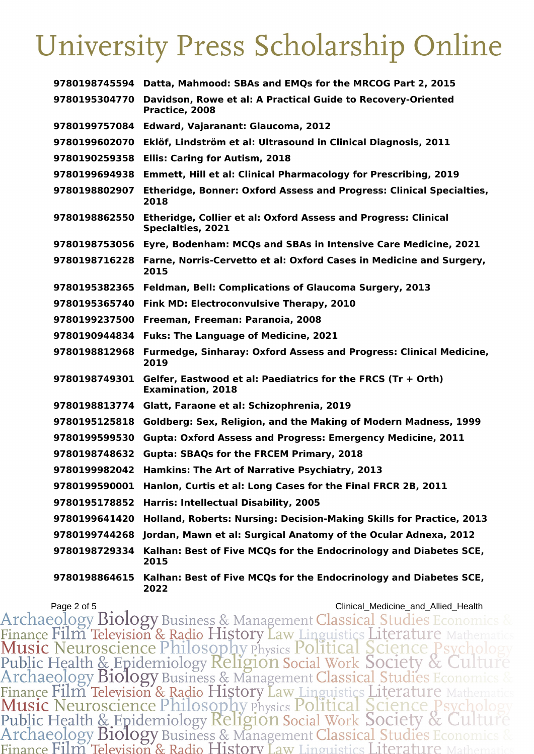| 9780198745594 | Datta, Mahmood: SBAs and EMQs for the MRCOG Part 2, 2015                                          |
|---------------|---------------------------------------------------------------------------------------------------|
| 9780195304770 | Davidson, Rowe et al: A Practical Guide to Recovery-Oriented<br>Practice, 2008                    |
| 9780199757084 | Edward, Vajaranant: Glaucoma, 2012                                                                |
| 9780199602070 | Eklöf, Lindström et al: Ultrasound in Clinical Diagnosis, 2011                                    |
| 9780190259358 | <b>Ellis: Caring for Autism, 2018</b>                                                             |
| 9780199694938 | <b>Emmett, Hill et al: Clinical Pharmacology for Prescribing, 2019</b>                            |
| 9780198802907 | <b>Etheridge, Bonner: Oxford Assess and Progress: Clinical Specialties,</b><br>2018               |
| 9780198862550 | <b>Etheridge, Collier et al: Oxford Assess and Progress: Clinical</b><br><b>Specialties, 2021</b> |
| 9780198753056 | Eyre, Bodenham: MCQs and SBAs in Intensive Care Medicine, 2021                                    |
| 9780198716228 | Farne, Norris-Cervetto et al: Oxford Cases in Medicine and Surgery,<br>2015                       |
| 9780195382365 | Feldman, Bell: Complications of Glaucoma Surgery, 2013                                            |
| 9780195365740 | Fink MD: Electroconvulsive Therapy, 2010                                                          |
| 9780199237500 | Freeman, Freeman: Paranoia, 2008                                                                  |
| 9780190944834 | <b>Fuks: The Language of Medicine, 2021</b>                                                       |
| 9780198812968 | <b>Furmedge, Sinharay: Oxford Assess and Progress: Clinical Medicine,</b><br>2019                 |
| 9780198749301 | Gelfer, Eastwood et al: Paediatrics for the FRCS $(Tr + Orth)$<br><b>Examination, 2018</b>        |
| 9780198813774 | Glatt, Faraone et al: Schizophrenia, 2019                                                         |
| 9780195125818 | Goldberg: Sex, Religion, and the Making of Modern Madness, 1999                                   |
| 9780199599530 | <b>Gupta: Oxford Assess and Progress: Emergency Medicine, 2011</b>                                |
| 9780198748632 | <b>Gupta: SBAQs for the FRCEM Primary, 2018</b>                                                   |
| 9780199982042 | Hamkins: The Art of Narrative Psychiatry, 2013                                                    |
| 9780199590001 | Hanlon, Curtis et al: Long Cases for the Final FRCR 2B, 2011                                      |
| 9780195178852 | <b>Harris: Intellectual Disability, 2005</b>                                                      |
| 9780199641420 | Holland, Roberts: Nursing: Decision-Making Skills for Practice, 2013                              |
| 9780199744268 | Jordan, Mawn et al: Surgical Anatomy of the Ocular Adnexa, 2012                                   |
| 9780198729334 | Kalhan: Best of Five MCQs for the Endocrinology and Diabetes SCE,<br>2015                         |
| 9780198864615 | Kalhan: Best of Five MCQs for the Endocrinology and Diabetes SCE,<br>2022                         |

Page 2 of 5<br>
Archaeology Biology Business & Management Classical Studies Economics &<br>
Finance Film Television & Radio History Law Linguistics Literature Mathematics<br>
Music Neuroscience Philosophy Physics Political Science Finance Film Television & Radio History Law Linguistics Literature Mathematic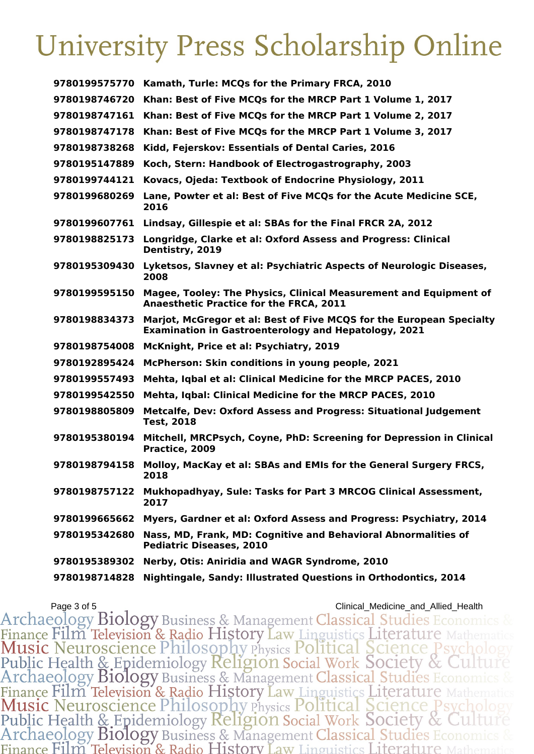| 9780199575770 | Kamath, Turle: MCQs for the Primary FRCA, 2010                                                                                      |
|---------------|-------------------------------------------------------------------------------------------------------------------------------------|
| 9780198746720 | Khan: Best of Five MCQs for the MRCP Part 1 Volume 1, 2017                                                                          |
| 9780198747161 | Khan: Best of Five MCQs for the MRCP Part 1 Volume 2, 2017                                                                          |
| 9780198747178 | Khan: Best of Five MCQs for the MRCP Part 1 Volume 3, 2017                                                                          |
| 9780198738268 | Kidd, Fejerskov: Essentials of Dental Caries, 2016                                                                                  |
| 9780195147889 | Koch, Stern: Handbook of Electrogastrography, 2003                                                                                  |
| 9780199744121 | Kovacs, Ojeda: Textbook of Endocrine Physiology, 2011                                                                               |
| 9780199680269 | Lane, Powter et al: Best of Five MCQs for the Acute Medicine SCE,<br>2016                                                           |
| 9780199607761 | Lindsay, Gillespie et al: SBAs for the Final FRCR 2A, 2012                                                                          |
| 9780198825173 | Longridge, Clarke et al: Oxford Assess and Progress: Clinical<br>Dentistry, 2019                                                    |
| 9780195309430 | Lyketsos, Slavney et al: Psychiatric Aspects of Neurologic Diseases,<br>2008                                                        |
| 9780199595150 | Magee, Tooley: The Physics, Clinical Measurement and Equipment of<br><b>Anaesthetic Practice for the FRCA, 2011</b>                 |
| 9780198834373 | Marjot, McGregor et al: Best of Five MCQS for the European Specialty<br><b>Examination in Gastroenterology and Hepatology, 2021</b> |
| 9780198754008 | McKnight, Price et al: Psychiatry, 2019                                                                                             |
| 9780192895424 | McPherson: Skin conditions in young people, 2021                                                                                    |
| 9780199557493 | Mehta, Iqbal et al: Clinical Medicine for the MRCP PACES, 2010                                                                      |
| 9780199542550 | Mehta, Iqbal: Clinical Medicine for the MRCP PACES, 2010                                                                            |
| 9780198805809 | <b>Metcalfe, Dev: Oxford Assess and Progress: Situational Judgement</b><br><b>Test, 2018</b>                                        |
| 9780195380194 | Mitchell, MRCPsych, Coyne, PhD: Screening for Depression in Clinical<br>Practice, 2009                                              |
| 9780198794158 | Molloy, MacKay et al: SBAs and EMIs for the General Surgery FRCS,<br>2018                                                           |
| 9780198757122 | Mukhopadhyay, Sule: Tasks for Part 3 MRCOG Clinical Assessment,<br>2017                                                             |
| 9780199665662 | Myers, Gardner et al: Oxford Assess and Progress: Psychiatry, 2014                                                                  |
| 9780195342680 | Nass, MD, Frank, MD: Cognitive and Behavioral Abnormalities of<br><b>Pediatric Diseases, 2010</b>                                   |
| 9780195389302 | Nerby, Otis: Aniridia and WAGR Syndrome, 2010                                                                                       |
| 9780198714828 | Nightingale, Sandy: Illustrated Questions in Orthodontics, 2014                                                                     |

Page 3 of 5<br>
Archaeology Biology Business & Management Classical Studies Economics &<br>
Finance Film Television & Radio History Law Linguistics Literature Mathematics<br>
Music Neuroscience Philosophy Physics Political Science Finance Film Television & Radio History Law Linguistics Literature Mathematic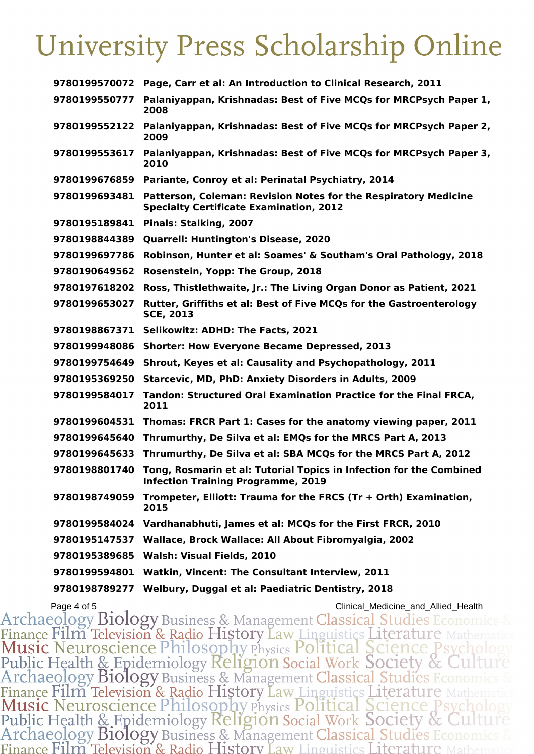| 9780199570072 | Page, Carr et al: An Introduction to Clinical Research, 2011                                                      |
|---------------|-------------------------------------------------------------------------------------------------------------------|
| 9780199550777 | Palaniyappan, Krishnadas: Best of Five MCQs for MRCPsych Paper 1,<br>2008                                         |
| 9780199552122 | Palaniyappan, Krishnadas: Best of Five MCQs for MRCPsych Paper 2,<br>2009                                         |
| 9780199553617 | Palaniyappan, Krishnadas: Best of Five MCQs for MRCPsych Paper 3,<br>2010                                         |
| 9780199676859 | Pariante, Conroy et al: Perinatal Psychiatry, 2014                                                                |
| 9780199693481 | Patterson, Coleman: Revision Notes for the Respiratory Medicine<br><b>Specialty Certificate Examination, 2012</b> |
| 9780195189841 | Pinals: Stalking, 2007                                                                                            |
| 9780198844389 | <b>Quarrell: Huntington's Disease, 2020</b>                                                                       |
| 9780199697786 | Robinson, Hunter et al: Soames' & Southam's Oral Pathology, 2018                                                  |
| 9780190649562 | Rosenstein, Yopp: The Group, 2018                                                                                 |
| 9780197618202 | Ross, Thistlethwaite, Jr.: The Living Organ Donor as Patient, 2021                                                |
| 9780199653027 | <b>Rutter, Griffiths et al: Best of Five MCQs for the Gastroenterology</b><br><b>SCE, 2013</b>                    |
| 9780198867371 | Selikowitz: ADHD: The Facts, 2021                                                                                 |
| 9780199948086 | <b>Shorter: How Everyone Became Depressed, 2013</b>                                                               |
| 9780199754649 | Shrout, Keyes et al: Causality and Psychopathology, 2011                                                          |
| 9780195369250 | Starcevic, MD, PhD: Anxiety Disorders in Adults, 2009                                                             |
| 9780199584017 | Tandon: Structured Oral Examination Practice for the Final FRCA,<br>2011                                          |
| 9780199604531 | Thomas: FRCR Part 1: Cases for the anatomy viewing paper, 2011                                                    |
| 9780199645640 | Thrumurthy, De Silva et al: EMQs for the MRCS Part A, 2013                                                        |
| 9780199645633 | Thrumurthy, De Silva et al: SBA MCQs for the MRCS Part A, 2012                                                    |
| 9780198801740 | Tong, Rosmarin et al: Tutorial Topics in Infection for the Combined<br><b>Infection Training Programme, 2019</b>  |
| 9780198749059 | Trompeter, Elliott: Trauma for the FRCS (Tr + Orth) Examination,<br>2015                                          |
| 9780199584024 | Vardhanabhuti, James et al: MCQs for the First FRCR, 2010                                                         |
| 9780195147537 | Wallace, Brock Wallace: All About Fibromyalgia, 2002                                                              |
| 9780195389685 | Walsh: Visual Fields, 2010                                                                                        |
| 9780199594801 | Watkin, Vincent: The Consultant Interview, 2011                                                                   |
| 9780198789277 | Welbury, Duggal et al: Paediatric Dentistry, 2018                                                                 |

Page 4 of 5<br>
Archaeology Biology Business & Management Classical Studies Economics &<br>
Finance Film Television & Radio History Law Linguistics Literature Mathematics<br>
Music Neuroscience Philosophy Physics Political Science Finance Film Television & Radio History Law Linguistics Literature Mathematic